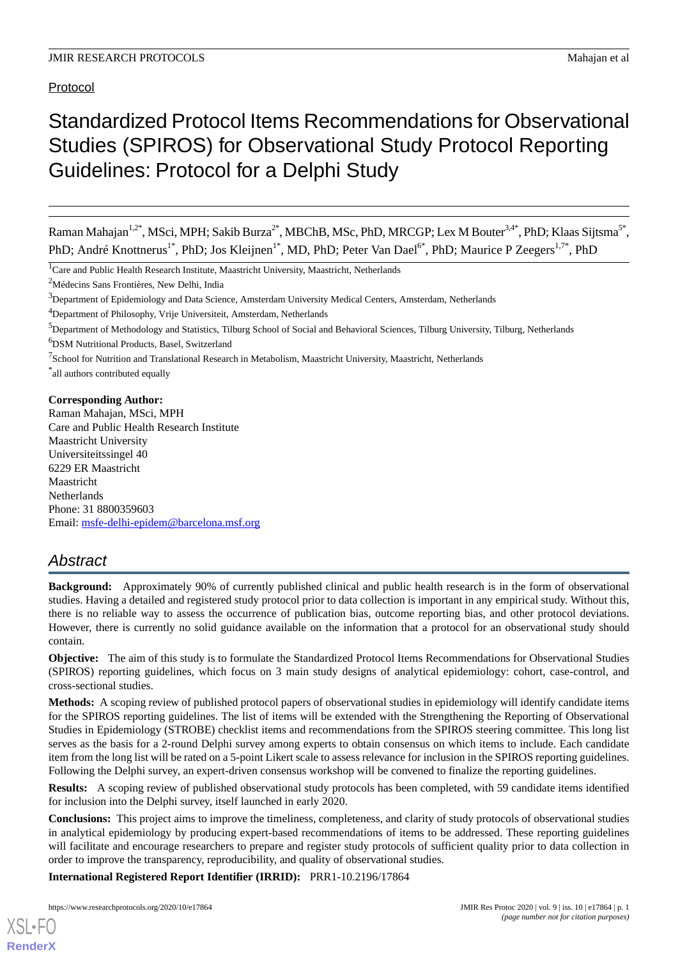Protocol

# Standardized Protocol Items Recommendations for Observational Studies (SPIROS) for Observational Study Protocol Reporting Guidelines: Protocol for a Delphi Study

Raman Mahajan<sup>1,2\*</sup>, MSci, MPH; Sakib Burza<sup>2\*</sup>, MBChB, MSc, PhD, MRCGP; Lex M Bouter<sup>3,4\*</sup>, PhD; Klaas Sijtsma<sup>5\*</sup>, PhD; André Knottnerus<sup>1\*</sup>, PhD; Jos Kleijnen<sup>1\*</sup>, MD, PhD; Peter Van Dael<sup>6\*</sup>, PhD; Maurice P Zeegers<sup>1,7\*</sup>, PhD

<sup>1</sup>Care and Public Health Research Institute, Maastricht University, Maastricht, Netherlands

<sup>2</sup>Médecins Sans Frontières, New Delhi, India

<sup>3</sup>Department of Epidemiology and Data Science, Amsterdam University Medical Centers, Amsterdam, Netherlands

<sup>4</sup>Department of Philosophy, Vrije Universiteit, Amsterdam, Netherlands

<sup>6</sup>DSM Nutritional Products, Basel, Switzerland

\* all authors contributed equally

#### **Corresponding Author:**

Raman Mahajan, MSci, MPH Care and Public Health Research Institute Maastricht University Universiteitssingel 40 6229 ER Maastricht Maastricht **Netherlands** Phone: 31 8800359603 Email: [msfe-delhi-epidem@barcelona.msf.org](mailto:msfe-delhi-epidem@barcelona.msf.org)

# *Abstract*

**Background:** Approximately 90% of currently published clinical and public health research is in the form of observational studies. Having a detailed and registered study protocol prior to data collection is important in any empirical study. Without this, there is no reliable way to assess the occurrence of publication bias, outcome reporting bias, and other protocol deviations. However, there is currently no solid guidance available on the information that a protocol for an observational study should contain.

**Objective:** The aim of this study is to formulate the Standardized Protocol Items Recommendations for Observational Studies (SPIROS) reporting guidelines, which focus on 3 main study designs of analytical epidemiology: cohort, case-control, and cross-sectional studies.

**Methods:** A scoping review of published protocol papers of observational studies in epidemiology will identify candidate items for the SPIROS reporting guidelines. The list of items will be extended with the Strengthening the Reporting of Observational Studies in Epidemiology (STROBE) checklist items and recommendations from the SPIROS steering committee. This long list serves as the basis for a 2-round Delphi survey among experts to obtain consensus on which items to include. Each candidate item from the long list will be rated on a 5-point Likert scale to assess relevance for inclusion in the SPIROS reporting guidelines. Following the Delphi survey, an expert-driven consensus workshop will be convened to finalize the reporting guidelines.

**Results:** A scoping review of published observational study protocols has been completed, with 59 candidate items identified for inclusion into the Delphi survey, itself launched in early 2020.

**Conclusions:** This project aims to improve the timeliness, completeness, and clarity of study protocols of observational studies in analytical epidemiology by producing expert-based recommendations of items to be addressed. These reporting guidelines will facilitate and encourage researchers to prepare and register study protocols of sufficient quality prior to data collection in order to improve the transparency, reproducibility, and quality of observational studies.

**International Registered Report Identifier (IRRID):** PRR1-10.2196/17864

<sup>&</sup>lt;sup>5</sup>Department of Methodology and Statistics, Tilburg School of Social and Behavioral Sciences, Tilburg University, Tilburg, Netherlands

<sup>&</sup>lt;sup>7</sup>School for Nutrition and Translational Research in Metabolism, Maastricht University, Maastricht, Netherlands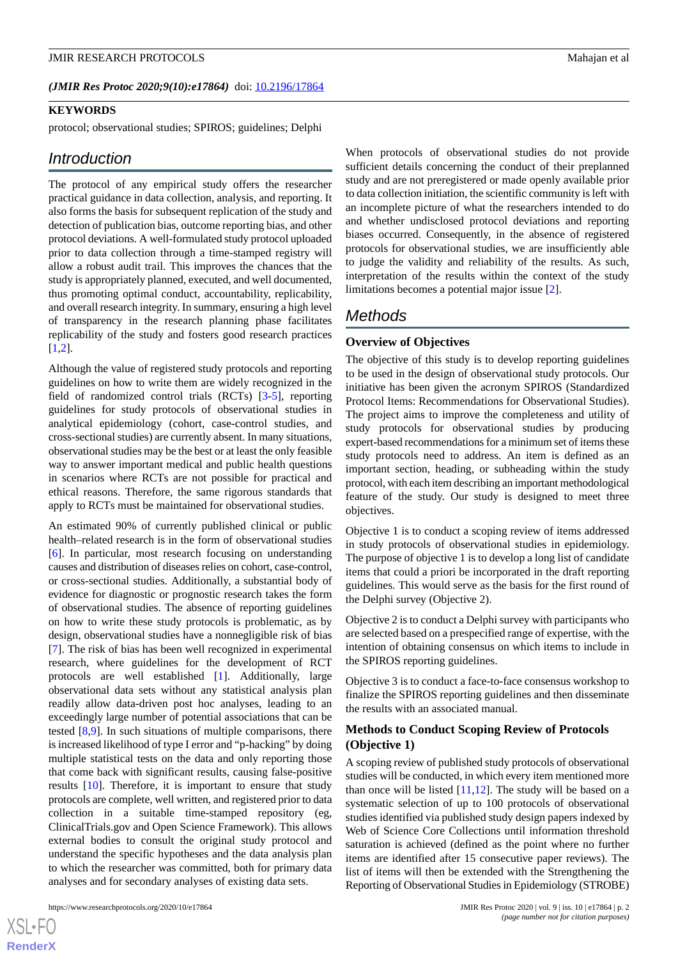#### (JMIR Res Protoc 2020;9(10):e17864) doi: [10.2196/17864](http://dx.doi.org/10.2196/17864)

# **KEYWORDS**

protocol; observational studies; SPIROS; guidelines; Delphi

# *Introduction*

The protocol of any empirical study offers the researcher practical guidance in data collection, analysis, and reporting. It also forms the basis for subsequent replication of the study and detection of publication bias, outcome reporting bias, and other protocol deviations. A well-formulated study protocol uploaded prior to data collection through a time-stamped registry will allow a robust audit trail. This improves the chances that the study is appropriately planned, executed, and well documented, thus promoting optimal conduct, accountability, replicability, and overall research integrity. In summary, ensuring a high level of transparency in the research planning phase facilitates replicability of the study and fosters good research practices  $[1,2]$  $[1,2]$  $[1,2]$  $[1,2]$ .

Although the value of registered study protocols and reporting guidelines on how to write them are widely recognized in the field of randomized control trials (RCTs) [\[3](#page-4-2)-[5\]](#page-4-3), reporting guidelines for study protocols of observational studies in analytical epidemiology (cohort, case-control studies, and cross-sectional studies) are currently absent. In many situations, observational studies may be the best or at least the only feasible way to answer important medical and public health questions in scenarios where RCTs are not possible for practical and ethical reasons. Therefore, the same rigorous standards that apply to RCTs must be maintained for observational studies.

An estimated 90% of currently published clinical or public health–related research is in the form of observational studies [[6\]](#page-4-4). In particular, most research focusing on understanding causes and distribution of diseases relies on cohort, case-control, or cross-sectional studies. Additionally, a substantial body of evidence for diagnostic or prognostic research takes the form of observational studies. The absence of reporting guidelines on how to write these study protocols is problematic, as by design, observational studies have a nonnegligible risk of bias [[7\]](#page-4-5). The risk of bias has been well recognized in experimental research, where guidelines for the development of RCT protocols are well established [\[1](#page-4-0)]. Additionally, large observational data sets without any statistical analysis plan readily allow data-driven post hoc analyses, leading to an exceedingly large number of potential associations that can be tested [\[8](#page-4-6),[9\]](#page-4-7). In such situations of multiple comparisons, there is increased likelihood of type I error and "p-hacking" by doing multiple statistical tests on the data and only reporting those that come back with significant results, causing false-positive results [\[10](#page-4-8)]. Therefore, it is important to ensure that study protocols are complete, well written, and registered prior to data collection in a suitable time-stamped repository (eg, ClinicalTrials.gov and Open Science Framework). This allows external bodies to consult the original study protocol and understand the specific hypotheses and the data analysis plan to which the researcher was committed, both for primary data analyses and for secondary analyses of existing data sets.

When protocols of observational studies do not provide sufficient details concerning the conduct of their preplanned study and are not preregistered or made openly available prior to data collection initiation, the scientific community is left with an incomplete picture of what the researchers intended to do and whether undisclosed protocol deviations and reporting biases occurred. Consequently, in the absence of registered protocols for observational studies, we are insufficiently able to judge the validity and reliability of the results. As such, interpretation of the results within the context of the study limitations becomes a potential major issue [\[2\]](#page-4-1).

# *Methods*

## **Overview of Objectives**

The objective of this study is to develop reporting guidelines to be used in the design of observational study protocols. Our initiative has been given the acronym SPIROS (Standardized Protocol Items: Recommendations for Observational Studies). The project aims to improve the completeness and utility of study protocols for observational studies by producing expert-based recommendations for a minimum set of items these study protocols need to address. An item is defined as an important section, heading, or subheading within the study protocol, with each item describing an important methodological feature of the study. Our study is designed to meet three objectives.

Objective 1 is to conduct a scoping review of items addressed in study protocols of observational studies in epidemiology. The purpose of objective 1 is to develop a long list of candidate items that could a priori be incorporated in the draft reporting guidelines. This would serve as the basis for the first round of the Delphi survey (Objective 2).

Objective 2 is to conduct a Delphi survey with participants who are selected based on a prespecified range of expertise, with the intention of obtaining consensus on which items to include in the SPIROS reporting guidelines.

Objective 3 is to conduct a face-to-face consensus workshop to finalize the SPIROS reporting guidelines and then disseminate the results with an associated manual.

# **Methods to Conduct Scoping Review of Protocols (Objective 1)**

A scoping review of published study protocols of observational studies will be conducted, in which every item mentioned more than once will be listed  $[11,12]$  $[11,12]$  $[11,12]$ . The study will be based on a systematic selection of up to 100 protocols of observational studies identified via published study design papers indexed by Web of Science Core Collections until information threshold saturation is achieved (defined as the point where no further items are identified after 15 consecutive paper reviews). The list of items will then be extended with the Strengthening the Reporting of Observational Studies in Epidemiology (STROBE)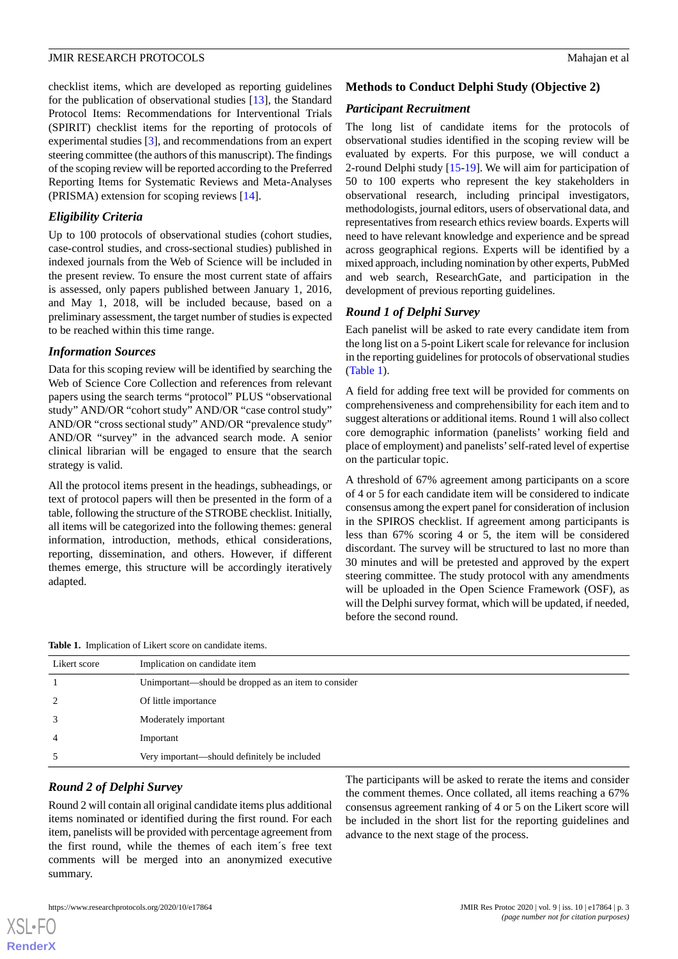checklist items, which are developed as reporting guidelines for the publication of observational studies [\[13](#page-4-11)], the Standard Protocol Items: Recommendations for Interventional Trials (SPIRIT) checklist items for the reporting of protocols of experimental studies [\[3](#page-4-2)], and recommendations from an expert steering committee (the authors of this manuscript). The findings of the scoping review will be reported according to the Preferred Reporting Items for Systematic Reviews and Meta-Analyses (PRISMA) extension for scoping reviews [[14\]](#page-4-12).

# *Eligibility Criteria*

Up to 100 protocols of observational studies (cohort studies, case-control studies, and cross-sectional studies) published in indexed journals from the Web of Science will be included in the present review. To ensure the most current state of affairs is assessed, only papers published between January 1, 2016, and May 1, 2018, will be included because, based on a preliminary assessment, the target number of studies is expected to be reached within this time range.

# *Information Sources*

Data for this scoping review will be identified by searching the Web of Science Core Collection and references from relevant papers using the search terms "protocol" PLUS "observational study" AND/OR "cohort study" AND/OR "case control study" AND/OR "cross sectional study" AND/OR "prevalence study" AND/OR "survey" in the advanced search mode. A senior clinical librarian will be engaged to ensure that the search strategy is valid.

All the protocol items present in the headings, subheadings, or text of protocol papers will then be presented in the form of a table, following the structure of the STROBE checklist. Initially, all items will be categorized into the following themes: general information, introduction, methods, ethical considerations, reporting, dissemination, and others. However, if different themes emerge, this structure will be accordingly iteratively adapted.

# **Methods to Conduct Delphi Study (Objective 2)**

#### *Participant Recruitment*

The long list of candidate items for the protocols of observational studies identified in the scoping review will be evaluated by experts. For this purpose, we will conduct a 2-round Delphi study [[15-](#page-4-13)[19](#page-5-0)]. We will aim for participation of 50 to 100 experts who represent the key stakeholders in observational research, including principal investigators, methodologists, journal editors, users of observational data, and representatives from research ethics review boards. Experts will need to have relevant knowledge and experience and be spread across geographical regions. Experts will be identified by a mixed approach, including nomination by other experts, PubMed and web search, ResearchGate, and participation in the development of previous reporting guidelines.

# *Round 1 of Delphi Survey*

Each panelist will be asked to rate every candidate item from the long list on a 5-point Likert scale for relevance for inclusion in the reporting guidelines for protocols of observational studies ([Table 1](#page-2-0)).

A field for adding free text will be provided for comments on comprehensiveness and comprehensibility for each item and to suggest alterations or additional items. Round 1 will also collect core demographic information (panelists' working field and place of employment) and panelists'self-rated level of expertise on the particular topic.

A threshold of 67% agreement among participants on a score of 4 or 5 for each candidate item will be considered to indicate consensus among the expert panel for consideration of inclusion in the SPIROS checklist. If agreement among participants is less than 67% scoring 4 or 5, the item will be considered discordant. The survey will be structured to last no more than 30 minutes and will be pretested and approved by the expert steering committee. The study protocol with any amendments will be uploaded in the Open Science Framework (OSF), as will the Delphi survey format, which will be updated, if needed, before the second round.

<span id="page-2-0"></span>**Table 1.** Implication of Likert score on candidate items.

| Likert score | Implication on candidate item                        |
|--------------|------------------------------------------------------|
|              | Unimportant—should be dropped as an item to consider |
| 2            | Of little importance                                 |
|              | Moderately important                                 |
| 4            | Important                                            |
|              | Very important—should definitely be included         |

#### *Round 2 of Delphi Survey*

Round 2 will contain all original candidate items plus additional items nominated or identified during the first round. For each item, panelists will be provided with percentage agreement from the first round, while the themes of each item´s free text comments will be merged into an anonymized executive summary.

The participants will be asked to rerate the items and consider the comment themes. Once collated, all items reaching a 67% consensus agreement ranking of 4 or 5 on the Likert score will be included in the short list for the reporting guidelines and advance to the next stage of the process.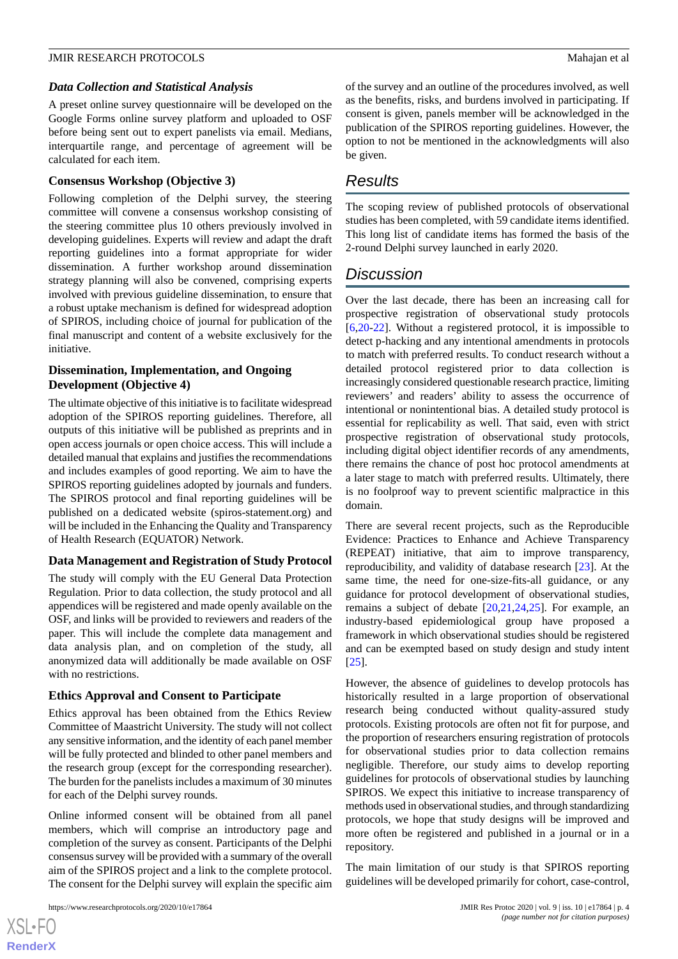#### *Data Collection and Statistical Analysis*

A preset online survey questionnaire will be developed on the Google Forms online survey platform and uploaded to OSF before being sent out to expert panelists via email. Medians, interquartile range, and percentage of agreement will be calculated for each item.

#### **Consensus Workshop (Objective 3)**

Following completion of the Delphi survey, the steering committee will convene a consensus workshop consisting of the steering committee plus 10 others previously involved in developing guidelines. Experts will review and adapt the draft reporting guidelines into a format appropriate for wider dissemination. A further workshop around dissemination strategy planning will also be convened, comprising experts involved with previous guideline dissemination, to ensure that a robust uptake mechanism is defined for widespread adoption of SPIROS, including choice of journal for publication of the final manuscript and content of a website exclusively for the initiative.

# **Dissemination, Implementation, and Ongoing Development (Objective 4)**

The ultimate objective of this initiative is to facilitate widespread adoption of the SPIROS reporting guidelines. Therefore, all outputs of this initiative will be published as preprints and in open access journals or open choice access. This will include a detailed manual that explains and justifies the recommendations and includes examples of good reporting. We aim to have the SPIROS reporting guidelines adopted by journals and funders. The SPIROS protocol and final reporting guidelines will be published on a dedicated website (spiros-statement.org) and will be included in the Enhancing the Quality and Transparency of Health Research (EQUATOR) Network.

#### **Data Management and Registration of Study Protocol**

The study will comply with the EU General Data Protection Regulation. Prior to data collection, the study protocol and all appendices will be registered and made openly available on the OSF, and links will be provided to reviewers and readers of the paper. This will include the complete data management and data analysis plan, and on completion of the study, all anonymized data will additionally be made available on OSF with no restrictions.

#### **Ethics Approval and Consent to Participate**

Ethics approval has been obtained from the Ethics Review Committee of Maastricht University. The study will not collect any sensitive information, and the identity of each panel member will be fully protected and blinded to other panel members and the research group (except for the corresponding researcher). The burden for the panelists includes a maximum of 30 minutes for each of the Delphi survey rounds.

Online informed consent will be obtained from all panel members, which will comprise an introductory page and completion of the survey as consent. Participants of the Delphi consensus survey will be provided with a summary of the overall aim of the SPIROS project and a link to the complete protocol. The consent for the Delphi survey will explain the specific aim

of the survey and an outline of the procedures involved, as well as the benefits, risks, and burdens involved in participating. If consent is given, panels member will be acknowledged in the publication of the SPIROS reporting guidelines. However, the option to not be mentioned in the acknowledgments will also be given.

# *Results*

The scoping review of published protocols of observational studies has been completed, with 59 candidate items identified. This long list of candidate items has formed the basis of the 2-round Delphi survey launched in early 2020.

# *Discussion*

Over the last decade, there has been an increasing call for prospective registration of observational study protocols [[6](#page-4-4)[,20](#page-5-1)-[22\]](#page-5-2). Without a registered protocol, it is impossible to detect p-hacking and any intentional amendments in protocols to match with preferred results. To conduct research without a detailed protocol registered prior to data collection is increasingly considered questionable research practice, limiting reviewers' and readers' ability to assess the occurrence of intentional or nonintentional bias. A detailed study protocol is essential for replicability as well. That said, even with strict prospective registration of observational study protocols, including digital object identifier records of any amendments, there remains the chance of post hoc protocol amendments at a later stage to match with preferred results. Ultimately, there is no foolproof way to prevent scientific malpractice in this domain.

There are several recent projects, such as the Reproducible Evidence: Practices to Enhance and Achieve Transparency (REPEAT) initiative, that aim to improve transparency, reproducibility, and validity of database research [\[23](#page-5-3)]. At the same time, the need for one-size-fits-all guidance, or any guidance for protocol development of observational studies, remains a subject of debate [\[20](#page-5-1),[21,](#page-5-4)[24](#page-5-5),[25\]](#page-5-6). For example, an industry-based epidemiological group have proposed a framework in which observational studies should be registered and can be exempted based on study design and study intent [[25\]](#page-5-6).

However, the absence of guidelines to develop protocols has historically resulted in a large proportion of observational research being conducted without quality-assured study protocols. Existing protocols are often not fit for purpose, and the proportion of researchers ensuring registration of protocols for observational studies prior to data collection remains negligible. Therefore, our study aims to develop reporting guidelines for protocols of observational studies by launching SPIROS. We expect this initiative to increase transparency of methods used in observational studies, and through standardizing protocols, we hope that study designs will be improved and more often be registered and published in a journal or in a repository.

The main limitation of our study is that SPIROS reporting guidelines will be developed primarily for cohort, case-control,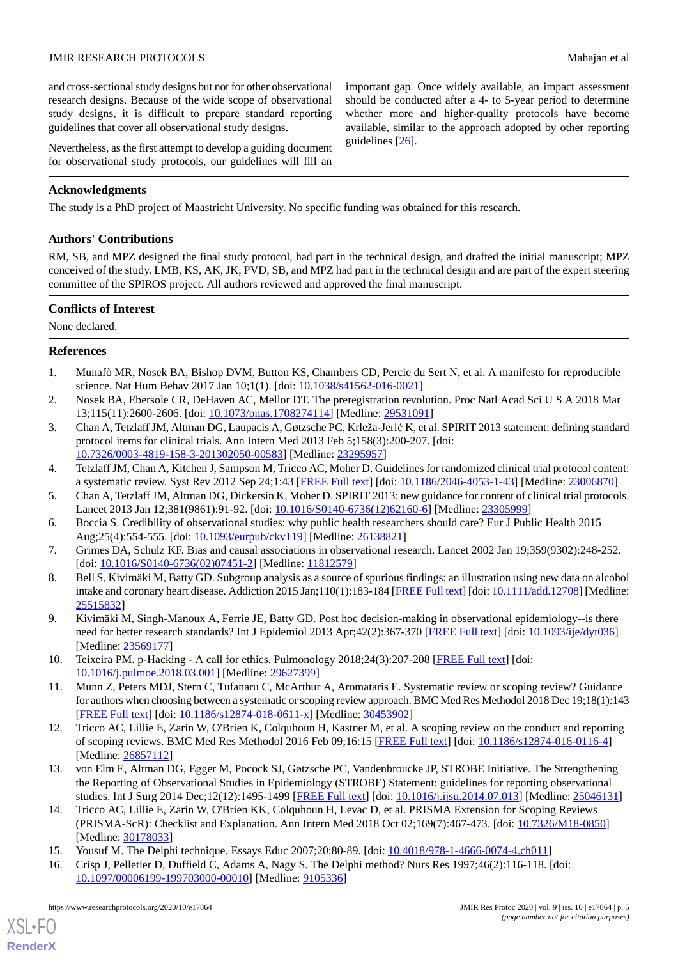and cross-sectional study designs but not for other observational research designs. Because of the wide scope of observational study designs, it is difficult to prepare standard reporting guidelines that cover all observational study designs.

Nevertheless, as the first attempt to develop a guiding document for observational study protocols, our guidelines will fill an

important gap. Once widely available, an impact assessment should be conducted after a 4- to 5-year period to determine whether more and higher-quality protocols have become available, similar to the approach adopted by other reporting guidelines [[26\]](#page-5-7).

# **Acknowledgments**

The study is a PhD project of Maastricht University. No specific funding was obtained for this research.

## **Authors' Contributions**

RM, SB, and MPZ designed the final study protocol, had part in the technical design, and drafted the initial manuscript; MPZ conceived of the study. LMB, KS, AK, JK, PVD, SB, and MPZ had part in the technical design and are part of the expert steering committee of the SPIROS project. All authors reviewed and approved the final manuscript.

# **Conflicts of Interest**

<span id="page-4-0"></span>None declared.

# <span id="page-4-1"></span>**References**

- <span id="page-4-2"></span>1. Munafò MR, Nosek BA, Bishop DVM, Button KS, Chambers CD, Percie du Sert N, et al. A manifesto for reproducible science. Nat Hum Behav 2017 Jan 10;1(1). [doi: [10.1038/s41562-016-0021](http://dx.doi.org/10.1038/s41562-016-0021)]
- 2. Nosek BA, Ebersole CR, DeHaven AC, Mellor DT. The preregistration revolution. Proc Natl Acad Sci U S A 2018 Mar 13;115(11):2600-2606. [doi: [10.1073/pnas.1708274114\]](http://dx.doi.org/10.1073/pnas.1708274114) [Medline: [29531091](http://www.ncbi.nlm.nih.gov/entrez/query.fcgi?cmd=Retrieve&db=PubMed&list_uids=29531091&dopt=Abstract)]
- 3. Chan A, Tetzlaff JM, Altman DG, Laupacis A, Gøtzsche PC, Krleža-Jerić K, et al. SPIRIT 2013 statement: defining standard protocol items for clinical trials. Ann Intern Med 2013 Feb 5;158(3):200-207. [doi: [10.7326/0003-4819-158-3-201302050-00583](http://dx.doi.org/10.7326/0003-4819-158-3-201302050-00583)] [Medline: [23295957](http://www.ncbi.nlm.nih.gov/entrez/query.fcgi?cmd=Retrieve&db=PubMed&list_uids=23295957&dopt=Abstract)]
- <span id="page-4-4"></span><span id="page-4-3"></span>4. Tetzlaff JM, Chan A, Kitchen J, Sampson M, Tricco AC, Moher D. Guidelines for randomized clinical trial protocol content: a systematic review. Syst Rev 2012 Sep 24;1:43 [[FREE Full text](https://systematicreviewsjournal.biomedcentral.com/articles/10.1186/2046-4053-1-43)] [doi: [10.1186/2046-4053-1-43\]](http://dx.doi.org/10.1186/2046-4053-1-43) [Medline: [23006870](http://www.ncbi.nlm.nih.gov/entrez/query.fcgi?cmd=Retrieve&db=PubMed&list_uids=23006870&dopt=Abstract)]
- <span id="page-4-5"></span>5. Chan A, Tetzlaff JM, Altman DG, Dickersin K, Moher D. SPIRIT 2013: new guidance for content of clinical trial protocols. Lancet 2013 Jan 12;381(9861):91-92. [doi: [10.1016/S0140-6736\(12\)62160-6\]](http://dx.doi.org/10.1016/S0140-6736(12)62160-6) [Medline: [23305999](http://www.ncbi.nlm.nih.gov/entrez/query.fcgi?cmd=Retrieve&db=PubMed&list_uids=23305999&dopt=Abstract)]
- <span id="page-4-6"></span>6. Boccia S. Credibility of observational studies: why public health researchers should care? Eur J Public Health 2015 Aug;25(4):554-555. [doi: [10.1093/eurpub/ckv119\]](http://dx.doi.org/10.1093/eurpub/ckv119) [Medline: [26138821\]](http://www.ncbi.nlm.nih.gov/entrez/query.fcgi?cmd=Retrieve&db=PubMed&list_uids=26138821&dopt=Abstract)
- <span id="page-4-7"></span>7. Grimes DA, Schulz KF. Bias and causal associations in observational research. Lancet 2002 Jan 19;359(9302):248-252. [doi: [10.1016/S0140-6736\(02\)07451-2](http://dx.doi.org/10.1016/S0140-6736(02)07451-2)] [Medline: [11812579\]](http://www.ncbi.nlm.nih.gov/entrez/query.fcgi?cmd=Retrieve&db=PubMed&list_uids=11812579&dopt=Abstract)
- <span id="page-4-8"></span>8. Bell S, Kivimäki M, Batty GD. Subgroup analysis as a source of spurious findings: an illustration using new data on alcohol intake and coronary heart disease. Addiction 2015 Jan;110(1):183-184 [\[FREE Full text](http://europepmc.org/abstract/MED/25515832)] [doi: [10.1111/add.12708](http://dx.doi.org/10.1111/add.12708)] [Medline: [25515832](http://www.ncbi.nlm.nih.gov/entrez/query.fcgi?cmd=Retrieve&db=PubMed&list_uids=25515832&dopt=Abstract)]
- <span id="page-4-9"></span>9. Kivimäki M, Singh-Manoux A, Ferrie JE, Batty GD. Post hoc decision-making in observational epidemiology--is there need for better research standards? Int J Epidemiol 2013 Apr;42(2):367-370 [\[FREE Full text\]](http://europepmc.org/abstract/MED/23569177) [doi: [10.1093/ije/dyt036\]](http://dx.doi.org/10.1093/ije/dyt036) [Medline: [23569177](http://www.ncbi.nlm.nih.gov/entrez/query.fcgi?cmd=Retrieve&db=PubMed&list_uids=23569177&dopt=Abstract)]
- <span id="page-4-10"></span>10. Teixeira PM. p-Hacking - A call for ethics. Pulmonology 2018;24(3):207-208 [\[FREE Full text\]](https://linkinghub.elsevier.com/retrieve/pii/S2531-0437(18)30048-5) [doi: [10.1016/j.pulmoe.2018.03.001\]](http://dx.doi.org/10.1016/j.pulmoe.2018.03.001) [Medline: [29627399](http://www.ncbi.nlm.nih.gov/entrez/query.fcgi?cmd=Retrieve&db=PubMed&list_uids=29627399&dopt=Abstract)]
- <span id="page-4-11"></span>11. Munn Z, Peters MDJ, Stern C, Tufanaru C, McArthur A, Aromataris E. Systematic review or scoping review? Guidance for authors when choosing between a systematic or scoping review approach. BMC Med Res Methodol 2018 Dec 19;18(1):143 [[FREE Full text](https://bmcmedresmethodol.biomedcentral.com/articles/10.1186/s12874-018-0611-x)] [doi: [10.1186/s12874-018-0611-x\]](http://dx.doi.org/10.1186/s12874-018-0611-x) [Medline: [30453902](http://www.ncbi.nlm.nih.gov/entrez/query.fcgi?cmd=Retrieve&db=PubMed&list_uids=30453902&dopt=Abstract)]
- <span id="page-4-12"></span>12. Tricco AC, Lillie E, Zarin W, O'Brien K, Colquhoun H, Kastner M, et al. A scoping review on the conduct and reporting of scoping reviews. BMC Med Res Methodol 2016 Feb 09;16:15 [\[FREE Full text\]](https://bmcmedresmethodol.biomedcentral.com/articles/10.1186/s12874-016-0116-4) [doi: [10.1186/s12874-016-0116-4](http://dx.doi.org/10.1186/s12874-016-0116-4)] [Medline: [26857112](http://www.ncbi.nlm.nih.gov/entrez/query.fcgi?cmd=Retrieve&db=PubMed&list_uids=26857112&dopt=Abstract)]
- <span id="page-4-13"></span>13. von Elm E, Altman DG, Egger M, Pocock SJ, Gøtzsche PC, Vandenbroucke JP, STROBE Initiative. The Strengthening the Reporting of Observational Studies in Epidemiology (STROBE) Statement: guidelines for reporting observational studies. Int J Surg 2014 Dec;12(12):1495-1499 [\[FREE Full text\]](https://linkinghub.elsevier.com/retrieve/pii/S1743-9191(14)00212-X) [doi: [10.1016/j.ijsu.2014.07.013\]](http://dx.doi.org/10.1016/j.ijsu.2014.07.013) [Medline: [25046131](http://www.ncbi.nlm.nih.gov/entrez/query.fcgi?cmd=Retrieve&db=PubMed&list_uids=25046131&dopt=Abstract)]
- 14. Tricco AC, Lillie E, Zarin W, O'Brien KK, Colquhoun H, Levac D, et al. PRISMA Extension for Scoping Reviews (PRISMA-ScR): Checklist and Explanation. Ann Intern Med 2018 Oct 02;169(7):467-473. [doi: [10.7326/M18-0850](http://dx.doi.org/10.7326/M18-0850)] [Medline: [30178033](http://www.ncbi.nlm.nih.gov/entrez/query.fcgi?cmd=Retrieve&db=PubMed&list_uids=30178033&dopt=Abstract)]
- 15. Yousuf M. The Delphi technique. Essays Educ 2007;20:80-89. [doi: [10.4018/978-1-4666-0074-4.ch011\]](http://dx.doi.org/10.4018/978-1-4666-0074-4.ch011)
- 16. Crisp J, Pelletier D, Duffield C, Adams A, Nagy S. The Delphi method? Nurs Res 1997;46(2):116-118. [doi: [10.1097/00006199-199703000-00010](http://dx.doi.org/10.1097/00006199-199703000-00010)] [Medline: [9105336](http://www.ncbi.nlm.nih.gov/entrez/query.fcgi?cmd=Retrieve&db=PubMed&list_uids=9105336&dopt=Abstract)]